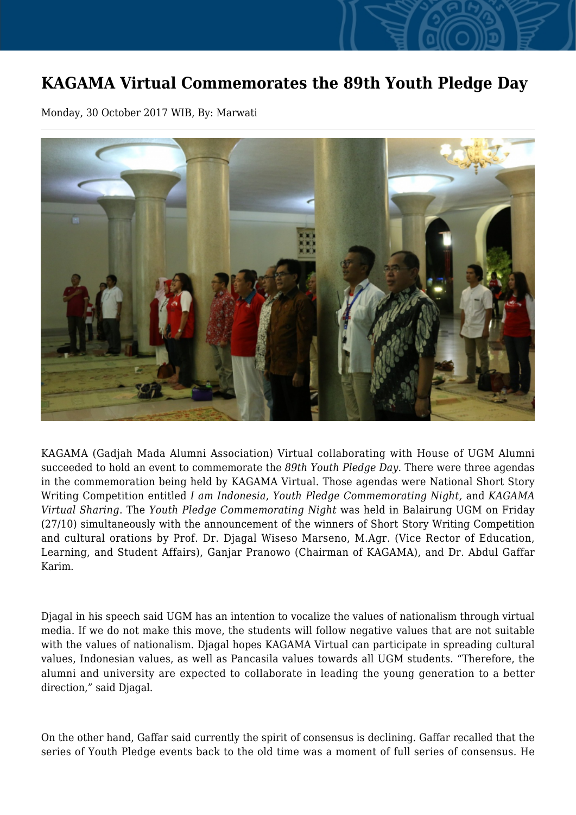## **KAGAMA Virtual Commemorates the 89th Youth Pledge Day**

Monday, 30 October 2017 WIB, By: Marwati



KAGAMA (Gadjah Mada Alumni Association) Virtual collaborating with House of UGM Alumni succeeded to hold an event to commemorate the *89th Youth Pledge Day*. There were three agendas in the commemoration being held by KAGAMA Virtual. Those agendas were National Short Story Writing Competition entitled *I am Indonesia, Youth Pledge Commemorating Night,* and *KAGAMA Virtual Sharing*. The *Youth Pledge Commemorating Night* was held in Balairung UGM on Friday (27/10) simultaneously with the announcement of the winners of Short Story Writing Competition and cultural orations by Prof. Dr. Djagal Wiseso Marseno, M.Agr. (Vice Rector of Education, Learning, and Student Affairs), Ganjar Pranowo (Chairman of KAGAMA), and Dr. Abdul Gaffar Karim.

Djagal in his speech said UGM has an intention to vocalize the values of nationalism through virtual media. If we do not make this move, the students will follow negative values that are not suitable with the values of nationalism. Djagal hopes KAGAMA Virtual can participate in spreading cultural values, Indonesian values, as well as Pancasila values towards all UGM students. "Therefore, the alumni and university are expected to collaborate in leading the young generation to a better direction," said Diagal.

On the other hand, Gaffar said currently the spirit of consensus is declining. Gaffar recalled that the series of Youth Pledge events back to the old time was a moment of full series of consensus. He